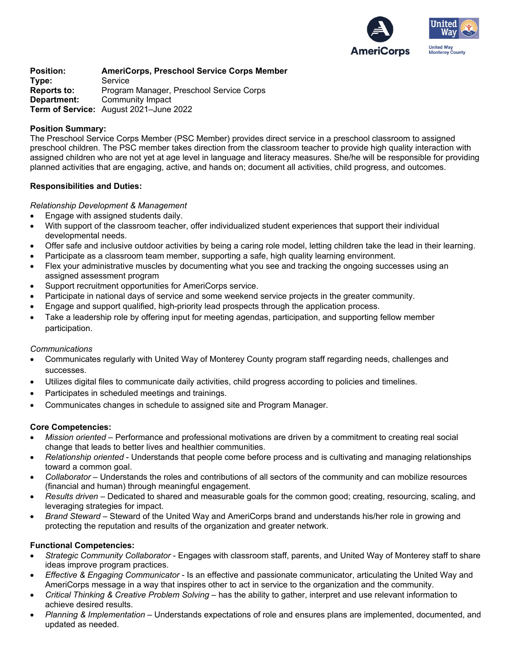

**Position: AmeriCorps, Preschool Service Corps Member Type:** Service **Reports to:** Program Manager, Preschool Service Corps **Department:** Community Impact **Term of Service:** August 2021–June 2022

## **Position Summary:**

The Preschool Service Corps Member (PSC Member) provides direct service in a preschool classroom to assigned preschool children. The PSC member takes direction from the classroom teacher to provide high quality interaction with assigned children who are not yet at age level in language and literacy measures. She/he will be responsible for providing planned activities that are engaging, active, and hands on; document all activities, child progress, and outcomes.

## **Responsibilities and Duties:**

## *Relationship Development & Management*

- Engage with assigned students daily.
- With support of the classroom teacher, offer individualized student experiences that support their individual developmental needs.
- Offer safe and inclusive outdoor activities by being a caring role model, letting children take the lead in their learning.
- Participate as a classroom team member, supporting a safe, high quality learning environment.
- Flex your administrative muscles by documenting what you see and tracking the ongoing successes using an assigned assessment program
- Support recruitment opportunities for AmeriCorps service.
- Participate in national days of service and some weekend service projects in the greater community.
- Engage and support qualified, high-priority lead prospects through the application process.
- Take a leadership role by offering input for meeting agendas, participation, and supporting fellow member participation.

#### *Communications*

- Communicates regularly with United Way of Monterey County program staff regarding needs, challenges and successes.
- Utilizes digital files to communicate daily activities, child progress according to policies and timelines.
- Participates in scheduled meetings and trainings.
- Communicates changes in schedule to assigned site and Program Manager.

#### **Core Competencies:**

- *Mission oriented* Performance and professional motivations are driven by a commitment to creating real social change that leads to better lives and healthier communities.
- *Relationship oriented* Understands that people come before process and is cultivating and managing relationships toward a common goal.
- *Collaborator* Understands the roles and contributions of all sectors of the community and can mobilize resources (financial and human) through meaningful engagement.
- *Results driven* Dedicated to shared and measurable goals for the common good; creating, resourcing, scaling, and leveraging strategies for impact.
- *Brand Steward* Steward of the United Way and AmeriCorps brand and understands his/her role in growing and protecting the reputation and results of the organization and greater network.

# **Functional Competencies:**

- *Strategic Community Collaborator* Engages with classroom staff, parents, and United Way of Monterey staff to share ideas improve program practices.
- *Effective & Engaging Communicator* Is an effective and passionate communicator, articulating the United Way and AmeriCorps message in a way that inspires other to act in service to the organization and the community.
- *Critical Thinking & Creative Problem Solving* has the ability to gather, interpret and use relevant information to achieve desired results.
- *Planning & Implementation* Understands expectations of role and ensures plans are implemented, documented, and updated as needed.